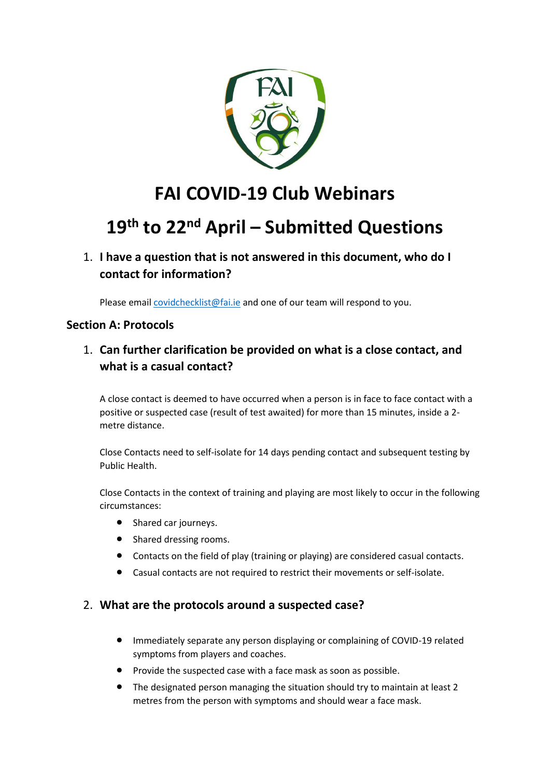

# **FAI COVID-19 Club Webinars**

# **19th to 22nd April – Submitted Questions**

## 1. **I have a question that is not answered in this document, who do I contact for information?**

Please email [covidchecklist@fai.ie](mailto:covidchecklist@fai.ie) and one of our team will respond to you.

#### **Section A: Protocols**

### 1. **Can further clarification be provided on what is a close contact, and what is a casual contact?**

A close contact is deemed to have occurred when a person is in face to face contact with a positive or suspected case (result of test awaited) for more than 15 minutes, inside a 2 metre distance.

Close Contacts need to self-isolate for 14 days pending contact and subsequent testing by Public Health.

Close Contacts in the context of training and playing are most likely to occur in the following circumstances:

- Shared car journeys.
- Shared dressing rooms.
- Contacts on the field of play (training or playing) are considered casual contacts.
- Casual contacts are not required to restrict their movements or self-isolate.

#### 2. **What are the protocols around a suspected case?**

- Immediately separate any person displaying or complaining of COVID-19 related symptoms from players and coaches.
- Provide the suspected case with a face mask as soon as possible.
- The designated person managing the situation should try to maintain at least 2 metres from the person with symptoms and should wear a face mask.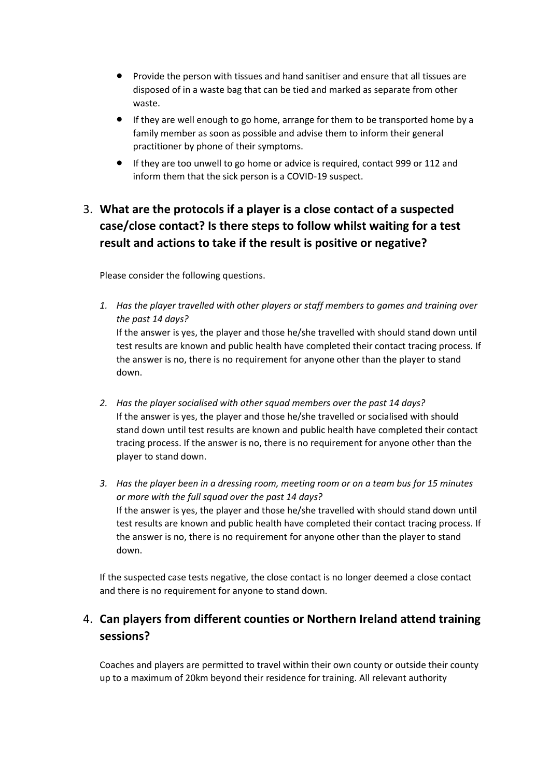- Provide the person with tissues and hand sanitiser and ensure that all tissues are disposed of in a waste bag that can be tied and marked as separate from other waste.
- If they are well enough to go home, arrange for them to be transported home by a family member as soon as possible and advise them to inform their general practitioner by phone of their symptoms.
- If they are too unwell to go home or advice is required, contact 999 or 112 and inform them that the sick person is a COVID-19 suspect.

# 3. **What are the protocols if a player is a close contact of a suspected case/close contact? Is there steps to follow whilst waiting for a test result and actions to take if the result is positive or negative?**

Please consider the following questions.

- *1. Has the player travelled with other players or staff members to games and training over the past 14 days?* If the answer is yes, the player and those he/she travelled with should stand down until test results are known and public health have completed their contact tracing process. If the answer is no, there is no requirement for anyone other than the player to stand down.
- *2. Has the player socialised with other squad members over the past 14 days?* If the answer is yes, the player and those he/she travelled or socialised with should stand down until test results are known and public health have completed their contact tracing process. If the answer is no, there is no requirement for anyone other than the player to stand down.
- *3. Has the player been in a dressing room, meeting room or on a team bus for 15 minutes or more with the full squad over the past 14 days?* If the answer is yes, the player and those he/she travelled with should stand down until test results are known and public health have completed their contact tracing process. If the answer is no, there is no requirement for anyone other than the player to stand down.

If the suspected case tests negative, the close contact is no longer deemed a close contact and there is no requirement for anyone to stand down.

# 4. **Can players from different counties or Northern Ireland attend training sessions?**

Coaches and players are permitted to travel within their own county or outside their county up to a maximum of 20km beyond their residence for training. All relevant authority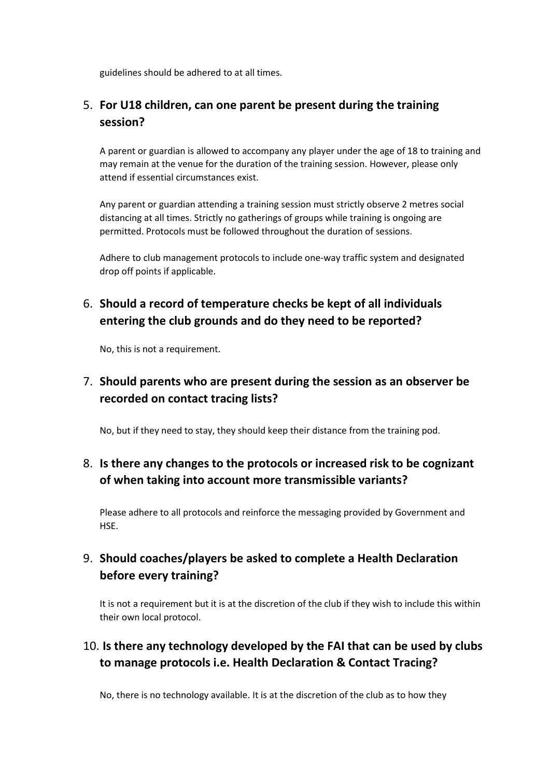guidelines should be adhered to at all times.

#### 5. **For U18 children, can one parent be present during the training session?**

A parent or guardian is allowed to accompany any player under the age of 18 to training and may remain at the venue for the duration of the training session. However, please only attend if essential circumstances exist.

Any parent or guardian attending a training session must strictly observe 2 metres social distancing at all times. Strictly no gatherings of groups while training is ongoing are permitted. Protocols must be followed throughout the duration of sessions.

Adhere to club management protocols to include one-way traffic system and designated drop off points if applicable.

# 6. **Should a record of temperature checks be kept of all individuals entering the club grounds and do they need to be reported?**

No, this is not a requirement.

## 7. **Should parents who are present during the session as an observer be recorded on contact tracing lists?**

No, but if they need to stay, they should keep their distance from the training pod.

## 8. **Is there any changes to the protocols or increased risk to be cognizant of when taking into account more transmissible variants?**

Please adhere to all protocols and reinforce the messaging provided by Government and HSE.

## 9. **Should coaches/players be asked to complete a Health Declaration before every training?**

It is not a requirement but it is at the discretion of the club if they wish to include this within their own local protocol.

## 10. **Is there any technology developed by the FAI that can be used by clubs to manage protocols i.e. Health Declaration & Contact Tracing?**

No, there is no technology available. It is at the discretion of the club as to how they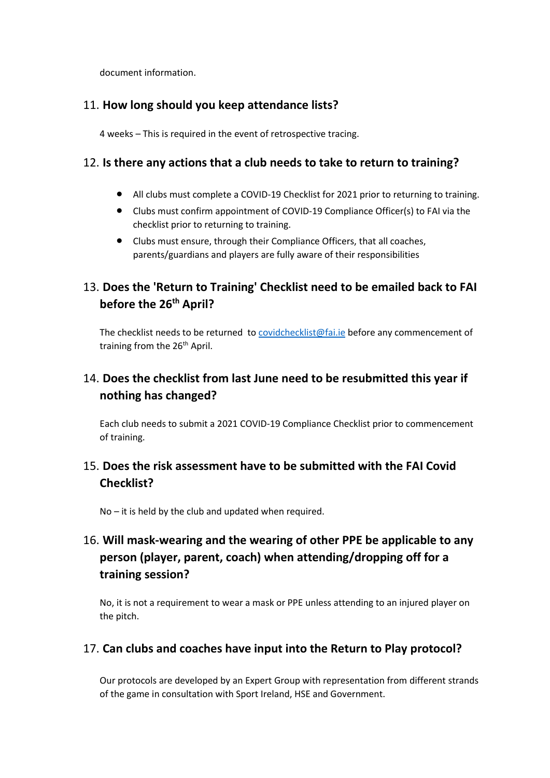document information.

#### 11. **How long should you keep attendance lists?**

4 weeks – This is required in the event of retrospective tracing.

#### 12. **Is there any actions that a club needs to take to return to training?**

- All clubs must complete a COVID-19 Checklist for 2021 prior to returning to training.
- Clubs must confirm appointment of COVID-19 Compliance Officer(s) to FAI via the checklist prior to returning to training.
- Clubs must ensure, through their Compliance Officers, that all coaches, parents/guardians and players are fully aware of their responsibilities

## 13. **Does the 'Return to Training' Checklist need to be emailed back to FAI before the 26th April?**

The checklist needs to be returned to [covidchecklist@fai.ie](mailto:covidchecklist@fai.ie) before any commencement of training from the 26<sup>th</sup> April.

## 14. **Does the checklist from last June need to be resubmitted this year if nothing has changed?**

Each club needs to submit a 2021 COVID-19 Compliance Checklist prior to commencement of training.

## 15. **Does the risk assessment have to be submitted with the FAI Covid Checklist?**

No – it is held by the club and updated when required.

# 16. **Will mask-wearing and the wearing of other PPE be applicable to any person (player, parent, coach) when attending/dropping off for a training session?**

No, it is not a requirement to wear a mask or PPE unless attending to an injured player on the pitch.

#### 17. **Can clubs and coaches have input into the Return to Play protocol?**

Our protocols are developed by an Expert Group with representation from different strands of the game in consultation with Sport Ireland, HSE and Government.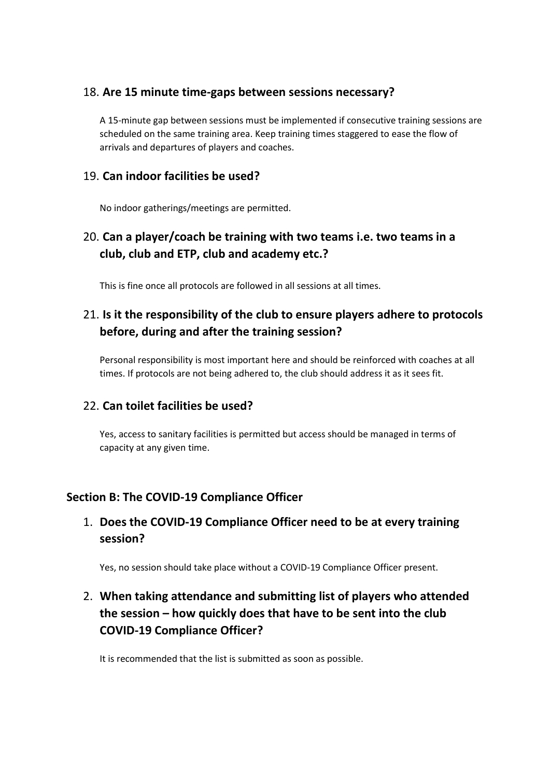#### 18. **Are 15 minute time-gaps between sessions necessary?**

A 15-minute gap between sessions must be implemented if consecutive training sessions are scheduled on the same training area. Keep training times staggered to ease the flow of arrivals and departures of players and coaches.

#### 19. **Can indoor facilities be used?**

No indoor gatherings/meetings are permitted.

## 20. **Can a player/coach be training with two teams i.e. two teams in a club, club and ETP, club and academy etc.?**

This is fine once all protocols are followed in all sessions at all times.

# 21. **Is it the responsibility of the club to ensure players adhere to protocols before, during and after the training session?**

Personal responsibility is most important here and should be reinforced with coaches at all times. If protocols are not being adhered to, the club should address it as it sees fit.

#### 22. **Can toilet facilities be used?**

Yes, access to sanitary facilities is permitted but access should be managed in terms of capacity at any given time.

#### **Section B: The COVID-19 Compliance Officer**

#### 1. **Does the COVID-19 Compliance Officer need to be at every training session?**

Yes, no session should take place without a COVID-19 Compliance Officer present.

# 2. **When taking attendance and submitting list of players who attended the session – how quickly does that have to be sent into the club COVID-19 Compliance Officer?**

It is recommended that the list is submitted as soon as possible.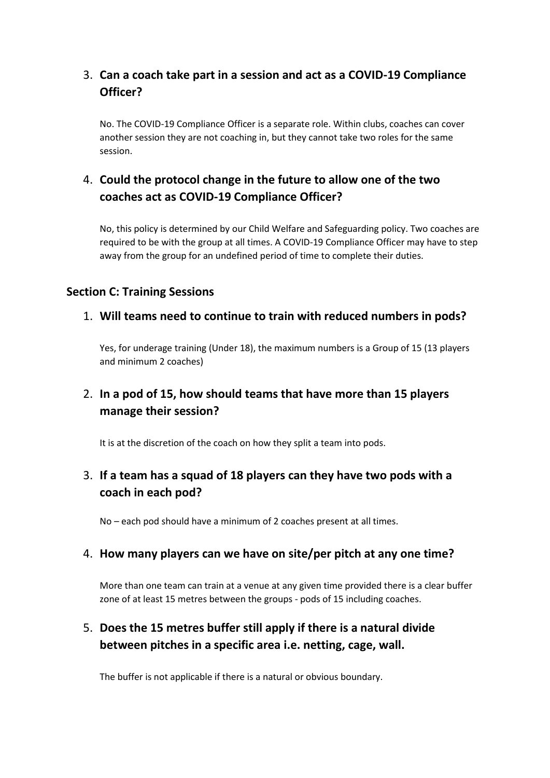# 3. **Can a coach take part in a session and act as a COVID-19 Compliance Officer?**

No. The COVID-19 Compliance Officer is a separate role. Within clubs, coaches can cover another session they are not coaching in, but they cannot take two roles for the same session.

# 4. **Could the protocol change in the future to allow one of the two coaches act as COVID-19 Compliance Officer?**

No, this policy is determined by our Child Welfare and Safeguarding policy. Two coaches are required to be with the group at all times. A COVID-19 Compliance Officer may have to step away from the group for an undefined period of time to complete their duties.

#### **Section C: Training Sessions**

#### 1. **Will teams need to continue to train with reduced numbers in pods?**

Yes, for underage training (Under 18), the maximum numbers is a Group of 15 (13 players and minimum 2 coaches)

### 2. **In a pod of 15, how should teams that have more than 15 players manage their session?**

It is at the discretion of the coach on how they split a team into pods.

## 3. **If a team has a squad of 18 players can they have two pods with a coach in each pod?**

No – each pod should have a minimum of 2 coaches present at all times.

#### 4. **How many players can we have on site/per pitch at any one time?**

More than one team can train at a venue at any given time provided there is a clear buffer zone of at least 15 metres between the groups - pods of 15 including coaches.

## 5. **Does the 15 metres buffer still apply if there is a natural divide between pitches in a specific area i.e. netting, cage, wall.**

The buffer is not applicable if there is a natural or obvious boundary.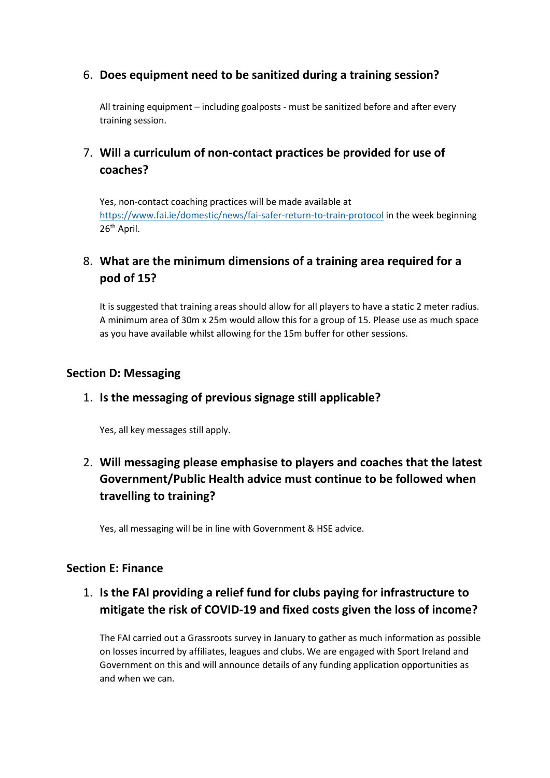#### 6. **Does equipment need to be sanitized during a training session?**

All training equipment – including goalposts - must be sanitized before and after every training session.

#### 7. **Will a curriculum of non-contact practices be provided for use of coaches?**

Yes, non-contact coaching practices will be made available at <https://www.fai.ie/domestic/news/fai-safer-return-to-train-protocol> in the week beginning 26<sup>th</sup> April.

#### 8. **What are the minimum dimensions of a training area required for a pod of 15?**

It is suggested that training areas should allow for all players to have a static 2 meter radius. A minimum area of 30m x 25m would allow this for a group of 15. Please use as much space as you have available whilst allowing for the 15m buffer for other sessions.

#### **Section D: Messaging**

#### 1. **Is the messaging of previous signage still applicable?**

Yes, all key messages still apply.

# 2. **Will messaging please emphasise to players and coaches that the latest Government/Public Health advice must continue to be followed when travelling to training?**

Yes, all messaging will be in line with Government & HSE advice.

#### **Section E: Finance**

## 1. **Is the FAI providing a relief fund for clubs paying for infrastructure to mitigate the risk of COVID-19 and fixed costs given the loss of income?**

The FAI carried out a Grassroots survey in January to gather as much information as possible on losses incurred by affiliates, leagues and clubs. We are engaged with Sport Ireland and Government on this and will announce details of any funding application opportunities as and when we can.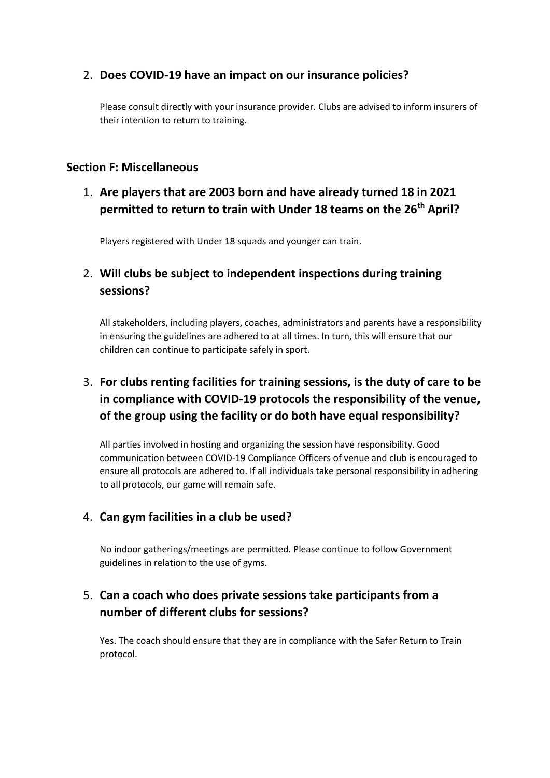#### 2. **Does COVID-19 have an impact on our insurance policies?**

Please consult directly with your insurance provider. Clubs are advised to inform insurers of their intention to return to training.

#### **Section F: Miscellaneous**

# 1. **Are players that are 2003 born and have already turned 18 in 2021 permitted to return to train with Under 18 teams on the 26th April?**

Players registered with Under 18 squads and younger can train.

### 2. **Will clubs be subject to independent inspections during training sessions?**

All stakeholders, including players, coaches, administrators and parents have a responsibility in ensuring the guidelines are adhered to at all times. In turn, this will ensure that our children can continue to participate safely in sport.

# 3. **For clubs renting facilities for training sessions, is the duty of care to be in compliance with COVID-19 protocols the responsibility of the venue, of the group using the facility or do both have equal responsibility?**

All parties involved in hosting and organizing the session have responsibility. Good communication between COVID-19 Compliance Officers of venue and club is encouraged to ensure all protocols are adhered to. If all individuals take personal responsibility in adhering to all protocols, our game will remain safe.

#### 4. **Can gym facilities in a club be used?**

No indoor gatherings/meetings are permitted. Please continue to follow Government guidelines in relation to the use of gyms.

#### 5. **Can a coach who does private sessions take participants from a number of different clubs for sessions?**

Yes. The coach should ensure that they are in compliance with the Safer Return to Train protocol.